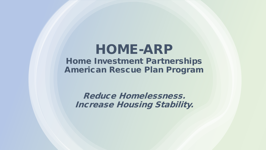### HOME-ARP Home Investment Partnerships American Rescue Plan Program

Reduce Homelessness. Increase Housing Stability.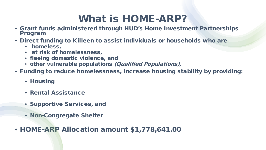## What is HOME-ARP?

- Grant funds administered through HUD's Home Investment Partnerships Program
- Direct funding to Killeen to assist individuals or households who are
	- homeless,
	- at risk of homelessness,
	- fleeing domestic violence, and
	- other vulnerable populations (Qualified Populations),
- Funding to reduce homelessness, increase housing stability by providing:
	- Housing
	- Rental Assistance
	- Supportive Services, and
	- Non-Congregate Shelter
- HOME-ARP Allocation amount \$1,778,641.00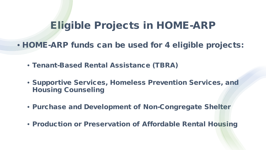### Eligible Projects in HOME-ARP

• HOME-ARP funds can be used for 4 eligible projects:

- Tenant-Based Rental Assistance (TBRA)
- Supportive Services, Homeless Prevention Services, and Housing Counseling
- Purchase and Development of Non-Congregate Shelter
- Production or Preservation of Affordable Rental Housing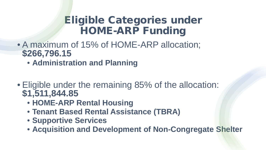## Eligible Categories under HOME-ARP Funding

- A maximum of 15% of HOME-ARP allocation; **\$266,796.15**
	- **Administration and Planning**
- Eligible under the remaining 85% of the allocation: **\$1,511,844.85**
	- **HOME-ARP Rental Housing**
	- **Tenant Based Rental Assistance (TBRA)**
	- **Supportive Services**
	- **Acquisition and Development of Non-Congregate Shelter**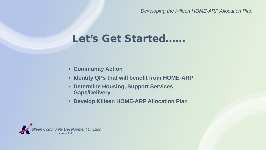*Developing the Killeen HOME-ARP Allocation Plan*

## Let's Get Started……

- **Community Action**
- **Identify QPs that will benefit from HOME-ARP**
- **Determine Housing, Support Services Gaps/Delivery**
- **Develop Killeen HOME-ARP Allocation Plan**

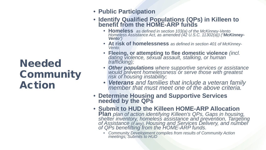## **Needed Community** Action

- **Public Participation**
- **Identify Qualified Populations (QPs) in Killeen to benefit from the HOME-ARP funds**
	- **Homeless** *as defined in section 103(a) of the McKinney-Vento Homeless Assistance Act, as amended (42 U.S.C. 11302(a)) ("McKinney- Vento")*
	- **At risk of homelessness** *as defined in section 401 of McKinney- Vento;*
	- **Fleeing, or attempting to flee domestic violence** *(incl. dating violence, sexual assault, stalking, or human trafficking);*
	- *Other populations where supportive services or assistance would prevent homelessness or serve those with greatest risk of housing instability;*
	- *Veterans and families that include a veteran family member that must meet one of the above criteria.*
- **Determine Housing and Supportive Services needed by the QPs**
- **Submit to HUD the Killeen HOME-ARP Allocation Plan** *plan of action identifying Killeen's QPs, Gaps in housing, shelter inventory, homeless assistance and prevention, Targeting* of Assistance (if any), Housing and Services Delivery, and number<br>of QPs benefitting from the HOME-ARP funds.
	- *Community Development compiles from results of Community Action meetings; Submits to HUD*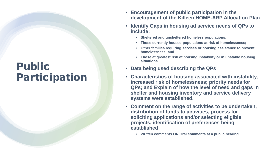## Public Participation

- **Encouragement of public participation in the development of the Killeen HOME-ARP Allocation Plan**
- **Identify Gaps in housing ad service needs of QPs to include:**
	- **Sheltered and unsheltered homeless populations;**
	- **Those currently housed populations at risk of homelessness;**
	- **Other families requiring services or housing assistance to prevent homelessness; and**
	- **Those at greatest risk of housing instability or in unstable housing situations.**
- **Data being used describing the QPs**
- **Characteristics of housing associated with instability, increased risk of homelessness; priority needs for QPs; and Explain of how the level of need and gaps in shelter and housing inventory and service delivery systems were established.**
- **Comment on the range of activities to be undertaken, distribution of funds to activities, process for soliciting applications and/or selecting eligible projects, identification of preferences being established**
	- **Written comments OR Oral comments at a public hearing**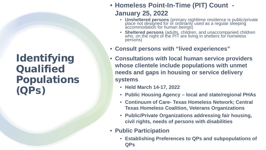### Identifying **Qualified** Populations (QPs)

### • **Homeless Point-In-Time (PIT) Count - January 25, 2022**

- **Unsheltered persons** (primary nighttime residence is public/private place not designed for or ordinarily used as a regular sleeping accommodation for human beings)
- **Sheltered persons** (adults, children, and unaccompanied children who, on the night of the PIT are living in shelters for homeless persons)
- **Consult persons with "lived experiences"**
- **Consultations with local human service providers whose clientele include populations with unmet needs and gaps in housing or service delivery systems**
	- **Held March 14-17, 2022**
	- **Public Housing Agency – local and state/regional PHAs**
	- **Continuum of Care- Texas Homeless Network; Central Texas Homeless Coalition, Veterans Organizations**
	- **Public/Private Organizations addressing fair housing, civil rights, needs of persons with disabilities**
- **Public Participation**
	- **Establishing Preferences to QPs and subpopulations of QPs**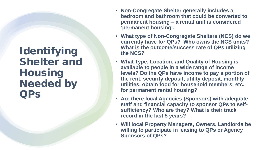### Identifying Shelter and **Housing** Needed by QPs

- **Non-Congregate Shelter generally includes a bedroom and bathroom that could be converted to permanent housing – a rental unit is considered 'permanent housing'.**
- **What type of Non-Congregate Shelters (NCS) do we currently have for QPs? Who owns the NCS units? What is the outcome/success rate of QPs utilizing the NCS?**
- **What Type, Location, and Quality of Housing is available to people in a wide range of income levels? Do the QPs have income to pay a portion of the rent, security deposit, utility deposit, monthly utilities, obtain food for household members, etc. for permanent rental housing?**
- **Are there local Agencies (Sponsors) with adequate staff and financial capacity to sponsor QPs to selfsufficiency? Who are they? What is their track record in the last 5 years?**
- **Will local Property Managers, Owners, Landlords be willing to participate in leasing to QPs or Agency Sponsors of QPs?**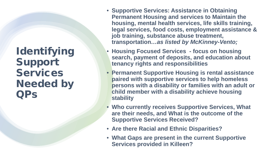Identifying Support **Services** Needed by QPs

- **Supportive Services: Assistance in Obtaining Permanent Housing and services to Maintain the housing, mental health services, life skills training, legal services, food costs, employment assistance & job training, substance abuse treatment, transportation***…as listed by McKinney-Vento;*
- **Housing Focused Services - focus on housing search, payment of deposits, and education about tenancy rights and responsibilities**
- **Permanent Supportive Housing is rental assistance paired with supportive services to help homeless persons with a disability or families with an adult or child member with a disability achieve housing stability**
- **Who currently receives Supportive Services, What are their needs, and What is the outcome of the Supportive Services Received?**
- **Are there Racial and Ethnic Disparities?**
- **What Gaps are present in the current Supportive Services provided in Killeen?**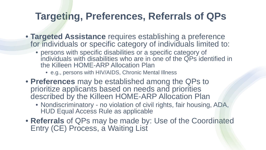## **Targeting, Preferences, Referrals of QPs**

- **Targeted Assistance** requires establishing a preference for individuals or specific category of individuals limited to:
	- persons with specific disabilities or a specific category of individuals with disabilities who are in one of the QPs identified in the Killeen HOME-ARP Allocation Plan
		- e.g., persons with HIV/AIDS, Chronic Mental Illness
- **Preferences** may be established among the QPs to prioritize applicants based on needs and priorities described by the Killeen HOME-ARP Allocation Plan
	- Nondiscriminatory no violation of civil rights, fair housing, ADA, HUD Equal Access Rule as applicable
- **Referrals** of QPs may be made by: Use of the Coordinated Entry (CE) Process, a Waiting List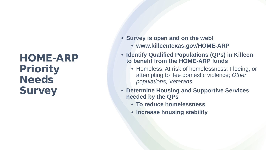## HOME-ARP **Priority Needs Survey**

- **Survey is open and on the web!**
	- **www.killeentexas.gov/HOME-ARP**
- **Identify Qualified Populations (QPs) in Killeen to benefit from the HOME-ARP funds**
	- Homeless; At risk of homelessness; Fleeing, or attempting to flee domestic violence; *Other populations; Veterans*
- **Determine Housing and Supportive Services needed by the QPs**
	- **To reduce homelessness**
	- **Increase housing stability**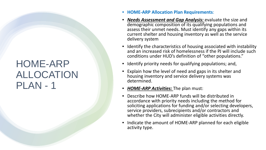### HOME-ARP ALLOCATION PLAN - 1

- **HOME-ARP Allocation Plan Requirements**:
- *Needs Assessment and Gap Analysis:* evaluate the size and demographic composition of its qualifying populations and assess their unmet needs. Must identify any gaps within its current shelter and housing inventory as well as the service delivery system
- Identify the characteristics of housing associated with instability and an increased risk of homelessness if the PJ will include such conditions under HUD's definition of "other populations."
- Identify priority needs for qualifying populations; and,
- Explain how the level of need and gaps in its shelter and housing inventory and service delivery systems was determined.
- *HOME-ARP Activities:* The plan must:
- Describe how HOME-ARP funds will be distributed in accordance with priority needs including the method for soliciting applications for funding and/or selecting developers, service providers, subrecipients and/or contractors and whether the City will administer eligible activities directly.
- Indicate the amount of HOME-ARP planned for each eligible activity type.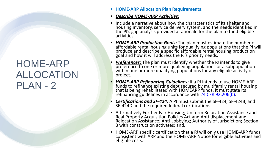### HOME-ARP ALLOCATION PLAN - 2

- **HOME-ARP Allocation Plan Requirements**:
- *Describe HOME-ARP Activities:*
- Include a narrative about how the characteristics of its shelter and housing inventory, service delivery system, and the needs identified in the PJ's gap analysis provided a rationale for the plan to fund eligible activities.
- *HOME-ARP Production Goals:* The plan must estimate the number of affordable rental housing units for qualifying populations that the PJ will produce and describe a specific affordable rental housing production goal and how it will address the PJ's priority needs.
- **Preferences:** The plan must identify whether the PJ intends to give preference to one or more qualifying populations or a subpopulation within one or more qualifying populations for any eligible activity or project.
- *HOME-ARP Refinancing Guidelines:* If a PJ intends to use HOME-ARP funds to refinance existing debt secured by multifamily rental housing that is being rehabilitated with HOMEARP funds, it must state its refinancing guidelines in accordance with 24 CFR 92.206(b).
- *Certifications and SF-424:* A PJ must submit the SF-424, SF-424B, and SF-424D and the required federal certifications:
- Affirmatively Further Fair Housing; Uniform Relocation Assistance and Real Property Acquisition Policies Act and Anti-displacement and<br>Relocation Assistance; Anti-Lobbying; Authority of Jurisdiction; Section<br>3 with construction activates; and,
- HOME-ARP specific certification that a PJ will only use HOME-ARP funds consistent with ARP and the HOME-ARP Notice for eligible activities and eligible costs.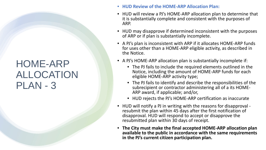### HOME-ARP ALLOCATION PLAN - 3

- **HUD Review of the HOME-ARP Allocation Plan:**
- HUD will review a PJ's HOME-ARP allocation plan to determine that it is substantially complete and consistent with the purposes of ARP.
- HUD may disapprove if determined inconsistent with the purposes of ARP or if plan is substantially incomplete.
- A PJ's plan is inconsistent with ARP if it allocates HOME-ARP funds for uses other than a HOME-ARP eligible activity, as described in the Notice.
- A PJ's HOME-ARP allocation plan is substantially incomplete if:
	- The PJ fails to include the required elements outlined in the Notice, including the amount of HOME-ARP funds for each eligible HOME-ARP activity type;
	- The PJ fails to identify and describe the responsibilities of the subrecipient or contractor administering all of a its HOME- ARP award, if applicable; and/or,
	- HUD rejects the PJ's HOME-ARP certification as inaccurate
- HUD will notify a PJ in writing with the reasons for disapproval resubmit the plan within 45 days after the first notification of disapproval. HUD will respond to accept or disapprove the resubmitted plan within 30 days of receipt.
- **The City must make the final accepted HOME-ARP allocation plan available to the public in accordance with the same requirements in the PJ's current citizen participation plan.**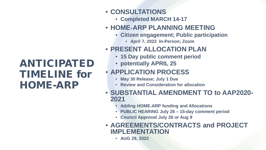## ANTICIPATED TIMELINE for HOME-ARP

### • **CONSULTATIONS**

- **Completed MARCH 14-17**
- **HOME-ARP PLANNING MEETING**
	- **Citizen engagement; Public participation**
		- **April 7, 2022 In-Person; Zoom**
- **PRESENT ALLOCATION PLAN** 
	- **15 Day public comment period**
	- **potentially APRIL 25**

### • **APPLICATION PROCESS**

- **May 30 Release; July 1 Due**
- **Review and Consideration for allocation**
- **SUBSTANTIAL AMENDMENT TO to AAP2020- <sup>2021</sup>**
	- **Adding HOME-ARP funding and Allocations**
	- **PUBLIC HEARING July 26 – 15-day comment period**
	- **Council Approval July 26 or Aug 9**
- **AGREEMENTS/CONTRACTS and PROJECT IMPLEMENTATION**
	- **AUG 29, 2022**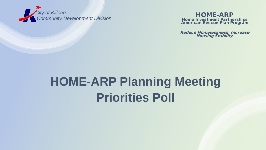

Home Investment Partnerships **American Rescue Plan Program** 

Reduce Homelessness. Increase Housing Stability.

## **HOME-ARP Planning Meeting Priorities Poll**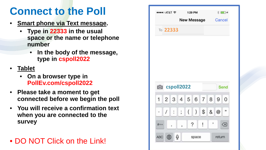## **Connect to the Poll**

- **Smart phone via Text message.**
	- **Type in 22333 in the usual space or the name or telephone number**
		- **In the body of the message, type in cspoll2022**
- **Tablet**
	- **On a browser type in PollEv.com/cspoll2022**
- **Please take a moment to get connected before we begin the poll**
- **You will receive a confirmation text when you are connected to the survey**

### • DO NOT Click on the Link!

|                                                                    |                    | ●●●●○ AT&T 令 1:29 PM |   |  | $\frac{1}{2}$ (iii) $\frac{1}{2}$ |
|--------------------------------------------------------------------|--------------------|----------------------|---|--|-----------------------------------|
|                                                                    | New Message Cancel |                      |   |  |                                   |
| То 22333                                                           |                    |                      |   |  |                                   |
|                                                                    |                    |                      |   |  |                                   |
|                                                                    |                    |                      |   |  |                                   |
|                                                                    |                    |                      |   |  |                                   |
|                                                                    |                    |                      |   |  |                                   |
|                                                                    |                    |                      |   |  |                                   |
|                                                                    |                    |                      |   |  | Send                              |
|                                                                    |                    |                      |   |  | $\overline{0}$                    |
|                                                                    | $1$ : ; ( ) \$ & @ |                      |   |  | $^{\prime\prime}$                 |
| <b>Compact Control</b> CSpoll2022<br>1 2 3 4 5 6 7 8 9<br>#+=<br>٠ | ?<br>ï             | $\mathbf{I}%$        | , |  | ⊗                                 |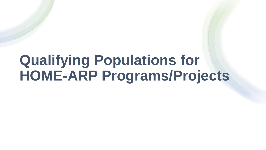## **Qualifying Populations for HOME-ARP Programs/Projects**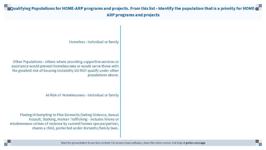#### Qualifying Populations for HOME-ARP programs and projects. From this list - Identify the population that is a priority for HOME- $\blacksquare$ **ARP programs and projects**

Homeless - individual or family

Other Populations - others where providing supportive services or assistance would prevent homelessness or would serve those with the greatest risk of housing instability-DO NOT qualify under other populations above.

At-Risk of Homelessness - individual or family

Fleeing/Attempting to Flee Domestic/Dating Violence, Sexual Assault, Stalking, Human Trafficking - includes felony or misdemeanor crimes of violence by current/former spouse/partner, shares a child, protected under domestic/family laws.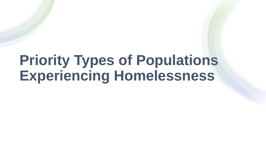## **Priority Types of Populations Experiencing Homelessness**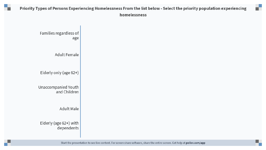#### Priority Types of Persons Experiencing Homelessness From the list below - Select the priority population experiencing homelessness

m T

Families regardless of age **Adult Female** Elderly only (age 62+) Unaccompanied Youth and Children **Adult Male** Elderly (age 62+) with dependents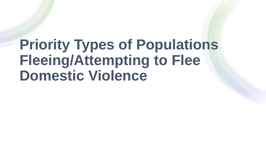## **Priority Types of Populations Fleeing/Attempting to Flee Domestic Violence**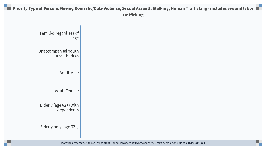#### Priority Type of Persons Fleeing Domestic/Date Violence, Sexual Assault, Stalking, Human Trafficking - includes sex and labor trafficking

Families regardless of age Unaccompanied Youth and Children **Adult Male** Adult Female Elderly (age 62+) with dependents Elderly only (age 62+)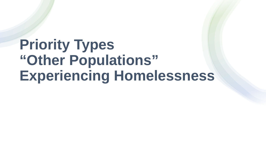## **Priority Types "Other Populations" Experiencing Homelessness**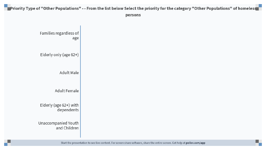#### Priority Type of "Other Populations" - - From the list below Select the priority for the category "Other Populations" of homeless  $\blacksquare$ persons

Families regardless of age Elderly only (age 62+) **Adult Male** Adult Female Elderly (age 62+) with dependents Unaccompanied Youth and Children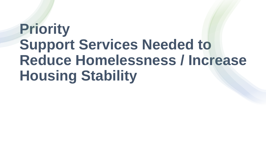# **Priority Support Services Needed to Reduce Homelessness / Increase Housing Stability**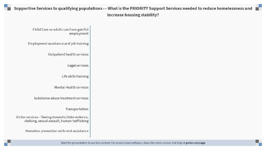#### Supportive Services to qualifying populations - - What is the PRIORITY Support Services needed to reduce homelessness and increase housing stability?

Child Care so adults can have gainful employment Employment assistance and job training Outpatient health services Legal services Life skills training Mental Health services Substance abuse treatment services Transportation Victim services - fleeing domestic/date violence, stalking, sexual assault, human trafficking Homeless prevention with rent assistance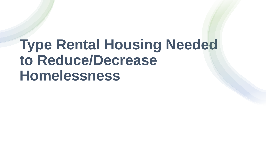## **Type Rental Housing Needed to Reduce/Decrease Homelessness**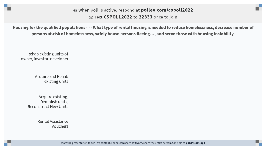then poll is active, respond at **polley.com/cspoll2022 BE Text CSPOLL2022 to 22333** once to join

Housing for the qualified populations - - - What type of rental housing is needed to reduce homelessness, decrease number of persons at-risk of homelessness, safely house persons fleeing..., and serve those with housing instability.

Rehab existing units of owner, investor, developer

> Acquire and Rehab existing units

Acquire existing, Demolish units, **Reconstruct New Units** 

> **Rental Assistance** Vouchers

> > Start the presentation to see live content. For screen share software, share the entire screen. Get help at pollev.com/app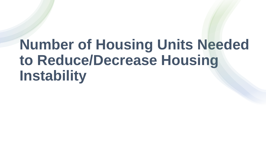# **Number of Housing Units Needed to Reduce/Decrease Housing Instability**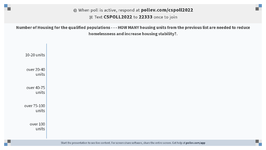#### then poll is active, respond at polley.com/cspoll2022 驱 Text CSPOLL2022 to 22333 once to join

Number of Housing for the qualified populations - - - HOW MANY housing units from the previous list are needed to reduce homelessness and increase housing stability?.

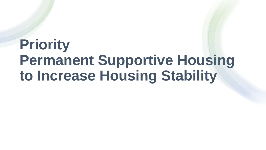## **Priority Permanent Supportive Housing to Increase Housing Stability**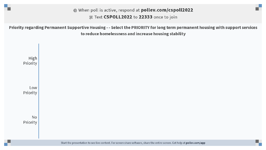#### then poll is active, respond at polley.com/cspoll2022 驱 Text CSPOLL2022 to 22333 once to join

Priority regarding Permanent Supportive Housing - - Select the PRIORITY for long term permanent housing with support services to reduce homelessness and increase housing stability

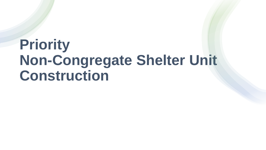## **Priority Non-Congregate Shelter Unit Construction**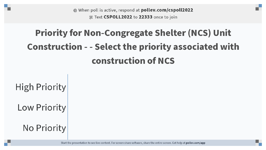**<sup>■</sup> When poll is active, respond at polley.com/cspoll2022 A. Text CSPOLL2022 to 22333** once to join

## **Priority for Non-Congregate Shelter (NCS) Unit Construction - - Select the priority associated with construction of NCS**

**High Priority** 

Low Priority

**No Priority** 

Start the presentation to see live content. For screen share software, share the entire screen. Get help at pollev.com/app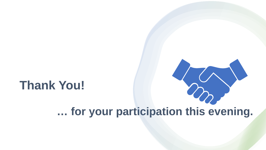## **Thank You!**

## **… for your participation this evening.**